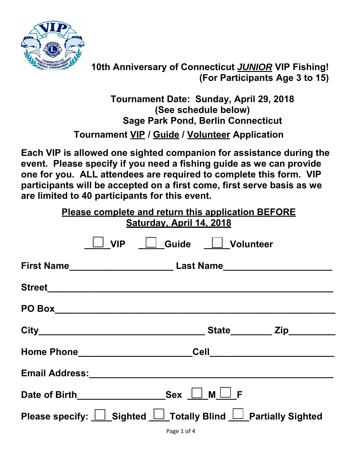

**10th Anniversary of Connecticut** *JUNIOR* **VIP Fishing! (For Participants Age 3 to 15)** 

**Tournament Date: Sunday, April 29, 2018 (See schedule below) Sage Park Pond, Berlin Connecticut Tournament VIP / Guide / Volunteer Application** 

**Each VIP is allowed one sighted companion for assistance during the event. Please specify if you need a fishing guide as we can provide one for you. ALL attendees are required to complete this form. VIP participants will be accepted on a first come, first serve basis as we are limited to 40 participants for this event.** 

| Please complete and return this application BEFORE<br>Saturday, April 14, 2018                                                                                                                          |  |  |                               |  |  |
|---------------------------------------------------------------------------------------------------------------------------------------------------------------------------------------------------------|--|--|-------------------------------|--|--|
|                                                                                                                                                                                                         |  |  | <u>UVIP Ucuide UVolunteer</u> |  |  |
|                                                                                                                                                                                                         |  |  |                               |  |  |
|                                                                                                                                                                                                         |  |  |                               |  |  |
|                                                                                                                                                                                                         |  |  |                               |  |  |
|                                                                                                                                                                                                         |  |  |                               |  |  |
|                                                                                                                                                                                                         |  |  |                               |  |  |
| Email Address: Marian Marian Marian Maria Maria Maria Maria Maria Maria Maria Maria Maria Maria Maria Maria Ma                                                                                          |  |  |                               |  |  |
|                                                                                                                                                                                                         |  |  |                               |  |  |
| Please specify: <u>□ Sighted </u> Totally Blind <u>□ Partially</u> Sighted<br>$\mathcal{L}$ , and the contract of $\mathcal{L}$ , and the contract of $\mathcal{L}$ , and the contract of $\mathcal{L}$ |  |  |                               |  |  |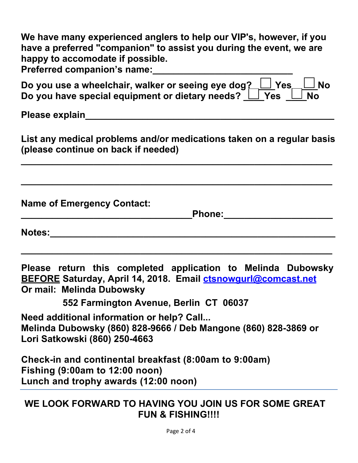| We have many experienced anglers to help our VIP's, however, if you<br>have a preferred "companion" to assist you during the event, we are<br>happy to accomodate if possible.                                                 |  |  |  |  |
|--------------------------------------------------------------------------------------------------------------------------------------------------------------------------------------------------------------------------------|--|--|--|--|
|                                                                                                                                                                                                                                |  |  |  |  |
| Do you use a wheelchair, walker or seeing eye dog? Ves UNo<br>Do you have special equipment or dietary needs? $\Box$ Yes $\Box$ No                                                                                             |  |  |  |  |
|                                                                                                                                                                                                                                |  |  |  |  |
| List any medical problems and/or medications taken on a regular basis<br>(please continue on back if needed)                                                                                                                   |  |  |  |  |
|                                                                                                                                                                                                                                |  |  |  |  |
| <b>Name of Emergency Contact:</b><br><u>Phone:____________________</u>                                                                                                                                                         |  |  |  |  |
| Notes: which is a set of the set of the set of the set of the set of the set of the set of the set of the set of the set of the set of the set of the set of the set of the set of the set of the set of the set of the set of |  |  |  |  |
| Please return this completed application to Melinda Dubowsky<br><b>BEFORE Saturday, April 14, 2018. Email ctsnowgurl@comcast.net</b><br>Or mail: Melinda Dubowsky                                                              |  |  |  |  |
| 552 Farmington Avenue, Berlin CT 06037                                                                                                                                                                                         |  |  |  |  |
| Need additional information or help? Call<br>Melinda Dubowsky (860) 828-9666 / Deb Mangone (860) 828-3869 or<br>Lori Satkowski (860) 250-4663                                                                                  |  |  |  |  |
| Check-in and continental breakfast (8:00am to 9:00am)<br>Fishing $(9:00am$ to 12:00 noon)<br>Lunch and trophy awards (12:00 noon)                                                                                              |  |  |  |  |
| WE LOOK FORWARD TO HAVING YOU JOIN US FOR SOME GREAT<br><b>FUN &amp; FISHING!!!!</b>                                                                                                                                           |  |  |  |  |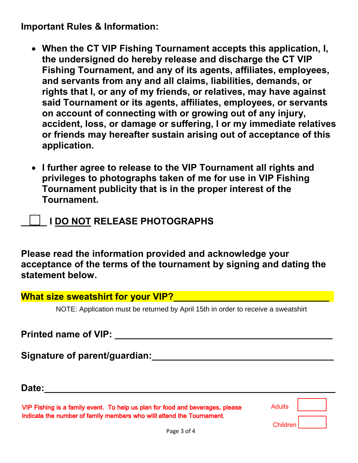**Important Rules & Information:**

- **When the CT VIP Fishing Tournament accepts this application, I, the undersigned do hereby release and discharge the CT VIP Fishing Tournament, and any of its agents, affiliates, employees, and servants from any and all claims, liabilities, demands, or rights that I, or any of my friends, or relatives, may have against said Tournament or its agents, affiliates, employees, or servants on account of connecting with or growing out of any injury, accident, loss, or damage or suffering, I or my immediate relatives or friends may hereafter sustain arising out of acceptance of this application.**
- **I further agree to release to the VIP Tournament all rights and privileges to photographs taken of me for use in VIP Fishing Tournament publicity that is in the proper interest of the Tournament.**
	- **\_\_\_\_\_ I DO NOT RELEASE PHOTOGRAPHS**

**Please read the information provided and acknowledge your acceptance of the terms of the tournament by signing and dating the statement below.** 

| What size sweatshirt for your VIP? |  |
|------------------------------------|--|
|------------------------------------|--|

NOTE: Application must be returned by April 15th in order to receive a sweatshirt

**Printed name of VIP:**  $\blacksquare$ 

Signature of parent/guardian: **with the set of the set of parent/guardian: Signature 2016** 

**Date:\_\_\_\_\_\_\_\_\_\_\_\_\_\_\_\_\_\_\_\_\_\_\_\_\_\_\_\_\_\_\_\_\_\_\_\_\_\_\_\_\_\_\_\_\_\_\_\_\_\_\_\_\_\_\_\_** 

VIP Fishing is a family event. To help us plan for food and beverages, please indicate the number of family members who willl attend the Tournament.

| Adults          |  |
|-----------------|--|
| <b>Children</b> |  |